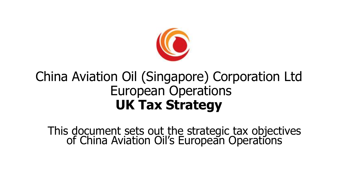

### China Aviation Oil (Singapore) Corporation Ltd European Operations **UK Tax Strategy**

This document sets out the strategic tax objectives of China Aviation Oil's European Operations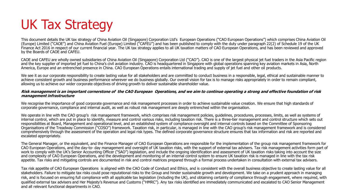# UK Tax Strategy

This document details the UK tax strategy of China Aviation Oil (Singapore) Corporation Ltd's European Operations ("CAO European Operations") which comprises China Aviation Oil (Europe) Limited ("CAOE") and China Aviation Fuel (Europe) Limited ("CAFEU") and has been published to comply with the duty under paragraph 22(2) of Schedule 19 of the UK Finance Act 2016 in respect of our current financial year. The UK tax strategy applies to all UK taxation matters of CAO European Operations, and has been reviewed and approved by the Boards of CAOE and CAFEU.

CAOE and CAFEU are wholly owned subsidiaries of China Aviation Oil (Singapore) Corporation Ltd ("CAO"). CAO is one of the largest physical jet fuel traders in the Asia Pacific region and the key supplier of imported jet fuel to China's civil aviation industry. CAO is headquartered in Singapore with global operations spanning key aviation markets in Asia, North America, Europe and an entrenched presence in China. CAO European Operations entails international trading and supply of jet fuel and other oil products.

We see it as our corporate responsibility to create lasting value for all stakeholders and are committed to conduct business in a responsible, legal, ethical and sustainable manner to achieve consistent growth and business performance wherever we do business globally. Our overall vision for tax is to manage risks appropriately in order to remain compliant, allowing us to achieve our wider corporate objectives of driving growth to deliver sustainable shareholder value.

#### **Risk management is an important cornerstone of the CAO European Operations, and we aim to continue operating a strong and effective foundation of risk management infrastructure**

We recognise the importance of good corporate governance and risk management processes in order to achieve sustainable value creation. We ensure that high standards of corporate governance, compliance and internal audit, as well as robust risk management are deeply entrenched within the organisation.

We operate in line with the CAO group's risk management framework, which comprises risk management policies, guidelines, procedures, processes, limits, as well as systems of internal control, which are put in place to identify, measure and control various risks, including taxation risk. There is a three-tier management and control structure which sets out responsibilities at Board, Management and operational level, and an established system of compliance oversight and internal controls based on the Committee of Sponsoring Organisations of the Treadway Commission ("COSO") framework. Taxation risk, in particular, is managed in line with the CAO group's risk management framework and is considered comprehensively through the assessment of the operation and legal risk types. The defined corporate governance structure ensures that tax information and risk are reported and escalated appropriately.

The General Manager, or the equivalent, and the Finance Manager of CAO European Operations are responsible for the implementation of the group risk management framework for CAO European Operations, and the day-to- day management and oversight of UK taxation risks, with the support of external tax advisers. Tax risk management activities form part of work to comply with the UK's Senior Accounting Officer ("SAO") legislation, and include the ongoing identification and assessment of UK taxation risks taking into account the size and complexity of CAO European Operations, and the development and monitoring of an internal control system to ensure UK taxation risk is managed in line with the tax risk appetite. Tax risks and mitigating controls are documented in risk and control matrices prepared through a formal process undertaken in consultation with external tax advisers.

Tax risk appetite of CAO European Operations is aligned with the CAO Code of Conduct and Ethics, and is consistent with the overall business objective to create lasting value for all stakeholders. Failure to mitigate tax risks could pose reputational risks to the Group and hinder sustainable growth and development. We take on a prudent approach in managing risk, and is focused on ensuring full compliance with all applicable tax legislation (including the UK), and obtaining certainty of compliance through engagement, where required, with qualified external tax advisers and Her Majesty's Revenue and Customs ("HMRC"). Any tax risks identified are immediately communicated and escalated to CAO Senior Management and all relevant functional departments in CAO.